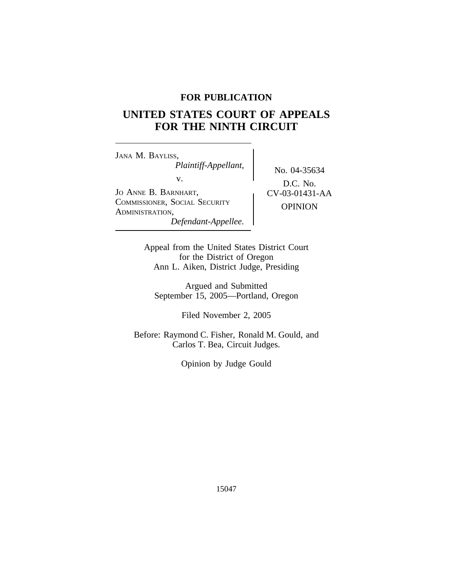## **FOR PUBLICATION**

# **UNITED STATES COURT OF APPEALS FOR THE NINTH CIRCUIT**

<sup>J</sup>ANA M. BAYLISS, *Plaintiff-Appellant,* No. 04-35634 v. JO ANNE B. BARNHART,  $CV-03-01431-AA$ <sup>C</sup>OMMISSIONER, SOCIAL SECURITY OPINION <sup>A</sup>DMINISTRATION, *Defendant-Appellee.*

D.C. No.

Appeal from the United States District Court for the District of Oregon Ann L. Aiken, District Judge, Presiding

Argued and Submitted September 15, 2005—Portland, Oregon

Filed November 2, 2005

Before: Raymond C. Fisher, Ronald M. Gould, and Carlos T. Bea, Circuit Judges.

Opinion by Judge Gould

15047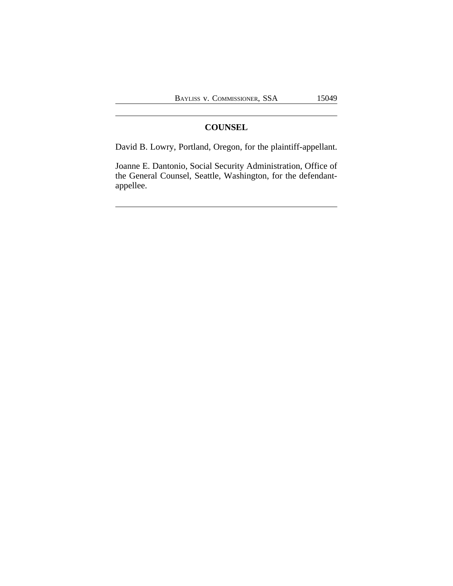## **COUNSEL**

David B. Lowry, Portland, Oregon, for the plaintiff-appellant.

Joanne E. Dantonio, Social Security Administration, Office of the General Counsel, Seattle, Washington, for the defendantappellee.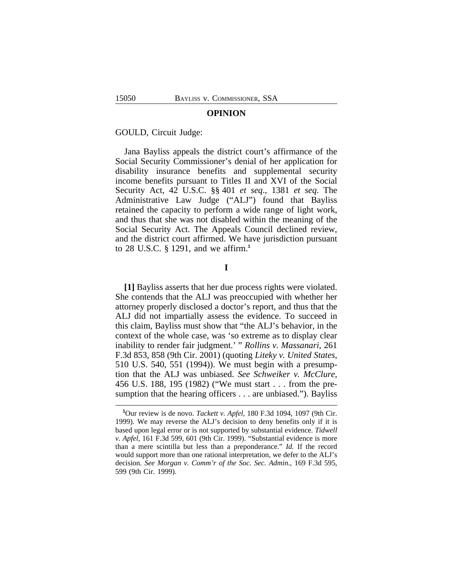#### **OPINION**

#### GOULD, Circuit Judge:

Jana Bayliss appeals the district court's affirmance of the Social Security Commissioner's denial of her application for disability insurance benefits and supplemental security income benefits pursuant to Titles II and XVI of the Social Security Act, 42 U.S.C. §§ 401 *et seq*., 1381 *et seq*. The Administrative Law Judge ("ALJ") found that Bayliss retained the capacity to perform a wide range of light work, and thus that she was not disabled within the meaning of the Social Security Act. The Appeals Council declined review, and the district court affirmed. We have jurisdiction pursuant to 28 U.S.C. § 1291, and we affirm.**<sup>1</sup>**

**I**

**[1]** Bayliss asserts that her due process rights were violated. She contends that the ALJ was preoccupied with whether her attorney properly disclosed a doctor's report, and thus that the ALJ did not impartially assess the evidence. To succeed in this claim, Bayliss must show that "the ALJ's behavior, in the context of the whole case, was 'so extreme as to display clear inability to render fair judgment.' " *Rollins v. Massanari*, 261 F.3d 853, 858 (9th Cir. 2001) (quoting *Liteky v. United States*, 510 U.S. 540, 551 (1994)). We must begin with a presumption that the ALJ was unbiased. *See Schweiker v. McClure*, 456 U.S. 188, 195 (1982) ("We must start . . . from the presumption that the hearing officers . . . are unbiased."). Bayliss

**<sup>1</sup>**Our review is de novo. *Tackett v. Apfel*, 180 F.3d 1094, 1097 (9th Cir. 1999). We may reverse the ALJ's decision to deny benefits only if it is based upon legal error or is not supported by substantial evidence. *Tidwell v. Apfel*, 161 F.3d 599, 601 (9th Cir. 1999). "Substantial evidence is more than a mere scintilla but less than a preponderance." *Id.* If the record would support more than one rational interpretation, we defer to the ALJ's decision. *See Morgan v. Comm'r of the Soc. Sec. Admin.*, 169 F.3d 595, 599 (9th Cir. 1999).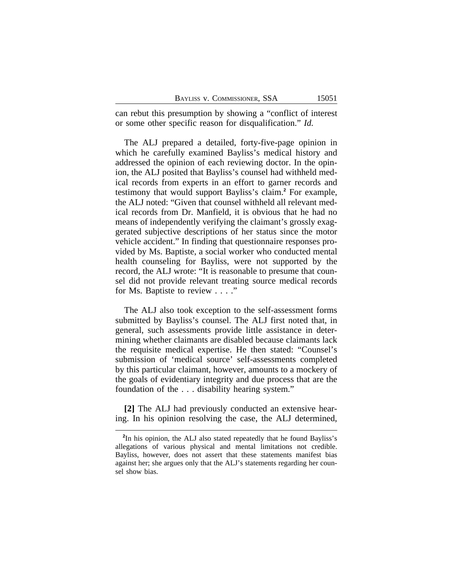can rebut this presumption by showing a "conflict of interest or some other specific reason for disqualification." *Id.*

The ALJ prepared a detailed, forty-five-page opinion in which he carefully examined Bayliss's medical history and addressed the opinion of each reviewing doctor. In the opinion, the ALJ posited that Bayliss's counsel had withheld medical records from experts in an effort to garner records and testimony that would support Bayliss's claim.**<sup>2</sup>** For example, the ALJ noted: "Given that counsel withheld all relevant medical records from Dr. Manfield, it is obvious that he had no means of independently verifying the claimant's grossly exaggerated subjective descriptions of her status since the motor vehicle accident." In finding that questionnaire responses provided by Ms. Baptiste, a social worker who conducted mental health counseling for Bayliss, were not supported by the record, the ALJ wrote: "It is reasonable to presume that counsel did not provide relevant treating source medical records for Ms. Baptiste to review . . . ."

The ALJ also took exception to the self-assessment forms submitted by Bayliss's counsel. The ALJ first noted that, in general, such assessments provide little assistance in determining whether claimants are disabled because claimants lack the requisite medical expertise. He then stated: "Counsel's submission of 'medical source' self-assessments completed by this particular claimant, however, amounts to a mockery of the goals of evidentiary integrity and due process that are the foundation of the . . . disability hearing system."

**[2]** The ALJ had previously conducted an extensive hearing. In his opinion resolving the case, the ALJ determined,

<sup>&</sup>lt;sup>2</sup>In his opinion, the ALJ also stated repeatedly that he found Bayliss's allegations of various physical and mental limitations not credible. Bayliss, however, does not assert that these statements manifest bias against her; she argues only that the ALJ's statements regarding her counsel show bias.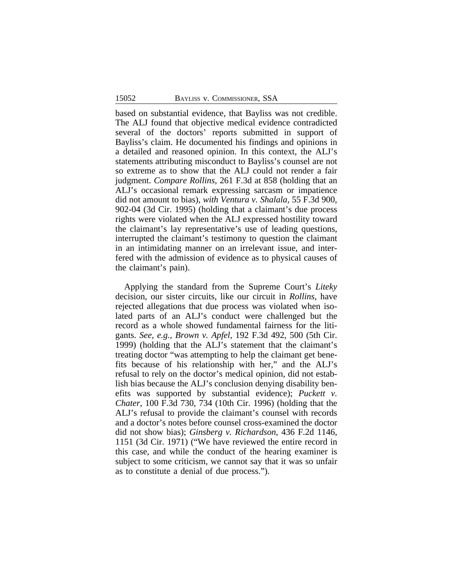based on substantial evidence, that Bayliss was not credible. The ALJ found that objective medical evidence contradicted several of the doctors' reports submitted in support of Bayliss's claim. He documented his findings and opinions in a detailed and reasoned opinion. In this context, the ALJ's statements attributing misconduct to Bayliss's counsel are not so extreme as to show that the ALJ could not render a fair judgment. *Compare Rollins*, 261 F.3d at 858 (holding that an ALJ's occasional remark expressing sarcasm or impatience did not amount to bias), *with Ventura v. Shalala*, 55 F.3d 900, 902-04 (3d Cir. 1995) (holding that a claimant's due process rights were violated when the ALJ expressed hostility toward the claimant's lay representative's use of leading questions, interrupted the claimant's testimony to question the claimant in an intimidating manner on an irrelevant issue, and interfered with the admission of evidence as to physical causes of the claimant's pain).

Applying the standard from the Supreme Court's *Liteky* decision, our sister circuits, like our circuit in *Rollins*, have rejected allegations that due process was violated when isolated parts of an ALJ's conduct were challenged but the record as a whole showed fundamental fairness for the litigants. *See, e.g., Brown v. Apfel*, 192 F.3d 492, 500 (5th Cir. 1999) (holding that the ALJ's statement that the claimant's treating doctor "was attempting to help the claimant get benefits because of his relationship with her," and the ALJ's refusal to rely on the doctor's medical opinion, did not establish bias because the ALJ's conclusion denying disability benefits was supported by substantial evidence); *Puckett v. Chater*, 100 F.3d 730, 734 (10th Cir. 1996) (holding that the ALJ's refusal to provide the claimant's counsel with records and a doctor's notes before counsel cross-examined the doctor did not show bias); *Ginsberg v. Richardson*, 436 F.2d 1146, 1151 (3d Cir. 1971) ("We have reviewed the entire record in this case, and while the conduct of the hearing examiner is subject to some criticism, we cannot say that it was so unfair as to constitute a denial of due process.").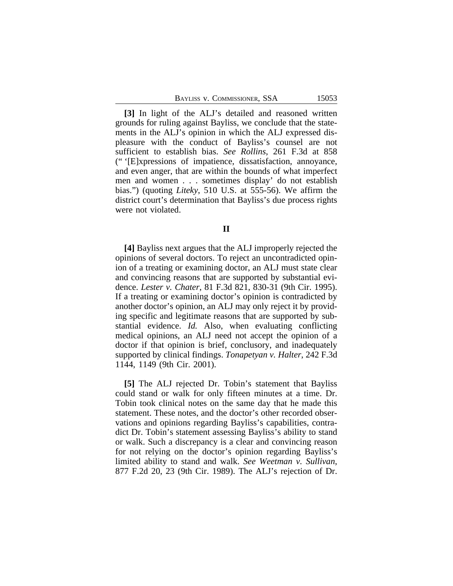|  | BAYLISS V. COMMISSIONER, SSA |  |
|--|------------------------------|--|
|--|------------------------------|--|

**[3]** In light of the ALJ's detailed and reasoned written grounds for ruling against Bayliss, we conclude that the statements in the ALJ's opinion in which the ALJ expressed displeasure with the conduct of Bayliss's counsel are not sufficient to establish bias. *See Rollins*, 261 F.3d at 858 (" '[E]xpressions of impatience, dissatisfaction, annoyance, and even anger, that are within the bounds of what imperfect men and women . . . sometimes display' do not establish bias.") (quoting *Liteky*, 510 U.S. at 555-56). We affirm the district court's determination that Bayliss's due process rights were not violated.

### **II**

**[4]** Bayliss next argues that the ALJ improperly rejected the opinions of several doctors. To reject an uncontradicted opinion of a treating or examining doctor, an ALJ must state clear and convincing reasons that are supported by substantial evidence. *Lester v. Chater*, 81 F.3d 821, 830-31 (9th Cir. 1995). If a treating or examining doctor's opinion is contradicted by another doctor's opinion, an ALJ may only reject it by providing specific and legitimate reasons that are supported by substantial evidence. *Id.* Also, when evaluating conflicting medical opinions, an ALJ need not accept the opinion of a doctor if that opinion is brief, conclusory, and inadequately supported by clinical findings. *Tonapetyan v. Halter*, 242 F.3d 1144, 1149 (9th Cir. 2001).

**[5]** The ALJ rejected Dr. Tobin's statement that Bayliss could stand or walk for only fifteen minutes at a time. Dr. Tobin took clinical notes on the same day that he made this statement. These notes, and the doctor's other recorded observations and opinions regarding Bayliss's capabilities, contradict Dr. Tobin's statement assessing Bayliss's ability to stand or walk. Such a discrepancy is a clear and convincing reason for not relying on the doctor's opinion regarding Bayliss's limited ability to stand and walk. *See Weetman v. Sullivan*, 877 F.2d 20, 23 (9th Cir. 1989). The ALJ's rejection of Dr.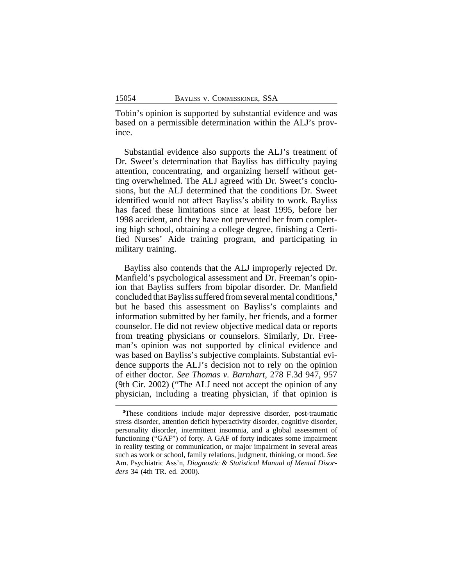Tobin's opinion is supported by substantial evidence and was based on a permissible determination within the ALJ's province.

Substantial evidence also supports the ALJ's treatment of Dr. Sweet's determination that Bayliss has difficulty paying attention, concentrating, and organizing herself without getting overwhelmed. The ALJ agreed with Dr. Sweet's conclusions, but the ALJ determined that the conditions Dr. Sweet identified would not affect Bayliss's ability to work. Bayliss has faced these limitations since at least 1995, before her 1998 accident, and they have not prevented her from completing high school, obtaining a college degree, finishing a Certified Nurses' Aide training program, and participating in military training.

Bayliss also contends that the ALJ improperly rejected Dr. Manfield's psychological assessment and Dr. Freeman's opinion that Bayliss suffers from bipolar disorder. Dr. Manfield concluded that Bayliss suffered from several mental conditions,**<sup>3</sup>** but he based this assessment on Bayliss's complaints and information submitted by her family, her friends, and a former counselor. He did not review objective medical data or reports from treating physicians or counselors. Similarly, Dr. Freeman's opinion was not supported by clinical evidence and was based on Bayliss's subjective complaints. Substantial evidence supports the ALJ's decision not to rely on the opinion of either doctor. *See Thomas v. Barnhart*, 278 F.3d 947, 957 (9th Cir. 2002) ("The ALJ need not accept the opinion of any physician, including a treating physician, if that opinion is

**<sup>3</sup>**These conditions include major depressive disorder, post-traumatic stress disorder, attention deficit hyperactivity disorder, cognitive disorder, personality disorder, intermittent insomnia, and a global assessment of functioning ("GAF") of forty. A GAF of forty indicates some impairment in reality testing or communication, or major impairment in several areas such as work or school, family relations, judgment, thinking, or mood. *See* Am. Psychiatric Ass'n, *Diagnostic & Statistical Manual of Mental Disorders* 34 (4th TR. ed. 2000).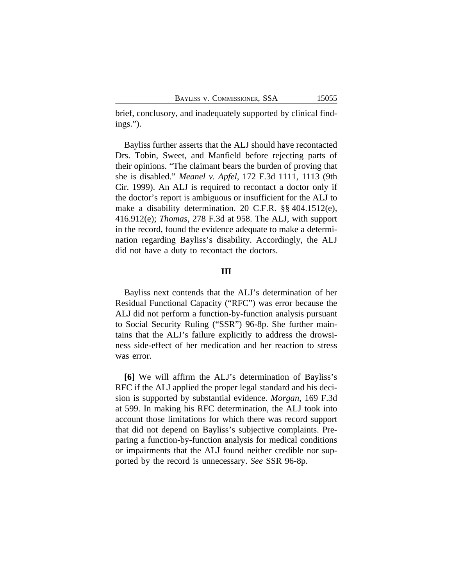brief, conclusory, and inadequately supported by clinical findings.").

Bayliss further asserts that the ALJ should have recontacted Drs. Tobin, Sweet, and Manfield before rejecting parts of their opinions. "The claimant bears the burden of proving that she is disabled." *Meanel v. Apfel*, 172 F.3d 1111, 1113 (9th Cir. 1999). An ALJ is required to recontact a doctor only if the doctor's report is ambiguous or insufficient for the ALJ to make a disability determination. 20 C.F.R. §§ 404.1512(e), 416.912(e); *Thomas*, 278 F.3d at 958. The ALJ, with support in the record, found the evidence adequate to make a determination regarding Bayliss's disability. Accordingly, the ALJ did not have a duty to recontact the doctors.

#### **III**

Bayliss next contends that the ALJ's determination of her Residual Functional Capacity ("RFC") was error because the ALJ did not perform a function-by-function analysis pursuant to Social Security Ruling ("SSR") 96-8p. She further maintains that the ALJ's failure explicitly to address the drowsiness side-effect of her medication and her reaction to stress was error.

**[6]** We will affirm the ALJ's determination of Bayliss's RFC if the ALJ applied the proper legal standard and his decision is supported by substantial evidence. *Morgan*, 169 F.3d at 599. In making his RFC determination, the ALJ took into account those limitations for which there was record support that did not depend on Bayliss's subjective complaints. Preparing a function-by-function analysis for medical conditions or impairments that the ALJ found neither credible nor supported by the record is unnecessary. *See* SSR 96-8p.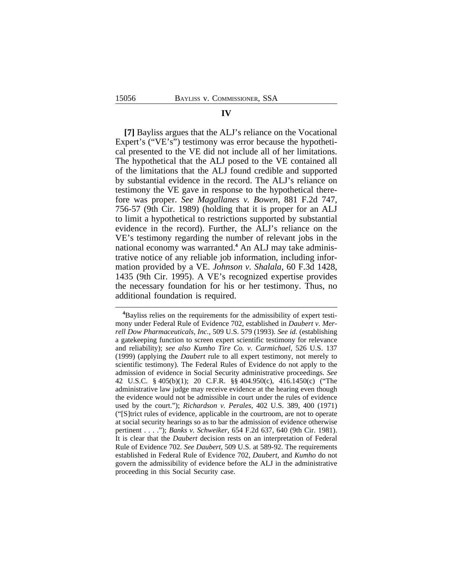#### **IV**

**[7]** Bayliss argues that the ALJ's reliance on the Vocational Expert's ("VE's") testimony was error because the hypothetical presented to the VE did not include all of her limitations. The hypothetical that the ALJ posed to the VE contained all of the limitations that the ALJ found credible and supported by substantial evidence in the record. The ALJ's reliance on testimony the VE gave in response to the hypothetical therefore was proper. *See Magallanes v. Bowen*, 881 F.2d 747, 756-57 (9th Cir. 1989) (holding that it is proper for an ALJ to limit a hypothetical to restrictions supported by substantial evidence in the record). Further, the ALJ's reliance on the VE's testimony regarding the number of relevant jobs in the national economy was warranted.<sup>4</sup> An ALJ may take administrative notice of any reliable job information, including information provided by a VE. *Johnson v. Shalala*, 60 F.3d 1428, 1435 (9th Cir. 1995). A VE's recognized expertise provides the necessary foundation for his or her testimony. Thus, no additional foundation is required.

**<sup>4</sup>**Bayliss relies on the requirements for the admissibility of expert testimony under Federal Rule of Evidence 702, established in *Daubert v. Merrell Dow Pharmaceuticals, Inc.*, 509 U.S. 579 (1993). *See id.* (establishing a gatekeeping function to screen expert scientific testimony for relevance and reliability); *see also Kumho Tire Co. v. Carmichael*, 526 U.S. 137 (1999) (applying the *Daubert* rule to all expert testimony, not merely to scientific testimony). The Federal Rules of Evidence do not apply to the admission of evidence in Social Security administrative proceedings. *See* 42 U.S.C. § 405(b)(1); 20 C.F.R. §§ 404.950(c), 416.1450(c) ("The administrative law judge may receive evidence at the hearing even though the evidence would not be admissible in court under the rules of evidence used by the court."); *Richardson v. Perales*, 402 U.S. 389, 400 (1971) ("[S]trict rules of evidence, applicable in the courtroom, are not to operate at social security hearings so as to bar the admission of evidence otherwise pertinent . . . ."); *Banks v. Schweiker*, 654 F.2d 637, 640 (9th Cir. 1981). It is clear that the *Daubert* decision rests on an interpretation of Federal Rule of Evidence 702. *See Daubert*, 509 U.S. at 589-92. The requirements established in Federal Rule of Evidence 702, *Daubert*, and *Kumho* do not govern the admissibility of evidence before the ALJ in the administrative proceeding in this Social Security case.